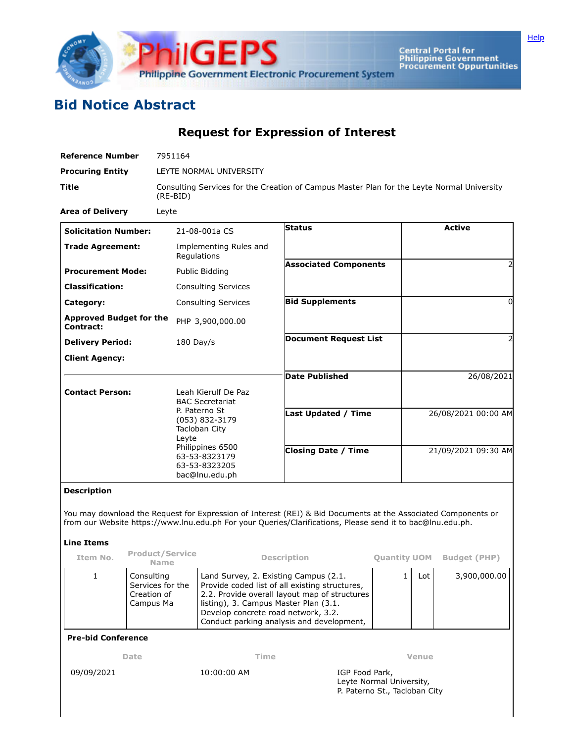

Central Portal for<br>Philippine Government<br>Procurement Oppurtunities

## **Bid Notice Abstract**

**Request for Expression of Interest**

| <b>Reference Number</b>                           | 7951164                                                   |                                                                                                                           |                                                                                                                                                                                                                             |                                     |                     |               |  |
|---------------------------------------------------|-----------------------------------------------------------|---------------------------------------------------------------------------------------------------------------------------|-----------------------------------------------------------------------------------------------------------------------------------------------------------------------------------------------------------------------------|-------------------------------------|---------------------|---------------|--|
| <b>Procuring Entity</b>                           | LEYTE NORMAL UNIVERSITY                                   |                                                                                                                           |                                                                                                                                                                                                                             |                                     |                     |               |  |
| Title                                             | $(RE-BID)$                                                | Consulting Services for the Creation of Campus Master Plan for the Leyte Normal University                                |                                                                                                                                                                                                                             |                                     |                     |               |  |
| <b>Area of Delivery</b>                           | Leyte                                                     |                                                                                                                           |                                                                                                                                                                                                                             |                                     |                     |               |  |
| <b>Solicitation Number:</b>                       |                                                           | 21-08-001a CS                                                                                                             | <b>Status</b>                                                                                                                                                                                                               |                                     |                     | <b>Active</b> |  |
| <b>Trade Agreement:</b>                           |                                                           | Implementing Rules and<br>Regulations                                                                                     |                                                                                                                                                                                                                             |                                     |                     |               |  |
| <b>Procurement Mode:</b>                          |                                                           | Public Bidding                                                                                                            | <b>Associated Components</b>                                                                                                                                                                                                |                                     |                     |               |  |
| <b>Classification:</b>                            |                                                           | <b>Consulting Services</b>                                                                                                |                                                                                                                                                                                                                             |                                     |                     |               |  |
| Category:                                         |                                                           | <b>Consulting Services</b>                                                                                                | <b>Bid Supplements</b>                                                                                                                                                                                                      |                                     |                     | $\Omega$      |  |
| <b>Approved Budget for the</b><br>Contract:       |                                                           | PHP 3,900,000.00                                                                                                          |                                                                                                                                                                                                                             |                                     |                     |               |  |
| <b>Delivery Period:</b>                           |                                                           | 180 Day/s                                                                                                                 | <b>Document Request List</b>                                                                                                                                                                                                |                                     |                     |               |  |
| <b>Client Agency:</b>                             |                                                           |                                                                                                                           |                                                                                                                                                                                                                             |                                     |                     |               |  |
|                                                   |                                                           |                                                                                                                           | <b>Date Published</b>                                                                                                                                                                                                       |                                     |                     | 26/08/2021    |  |
| <b>Contact Person:</b>                            |                                                           | Leah Kierulf De Paz                                                                                                       |                                                                                                                                                                                                                             |                                     |                     |               |  |
|                                                   |                                                           | <b>BAC Secretariat</b><br>P. Paterno St                                                                                   |                                                                                                                                                                                                                             |                                     |                     |               |  |
|                                                   |                                                           | (053) 832-3179                                                                                                            | Last Updated / Time                                                                                                                                                                                                         |                                     | 26/08/2021 00:00 AM |               |  |
|                                                   | Leyte                                                     | Tacloban City                                                                                                             |                                                                                                                                                                                                                             |                                     |                     |               |  |
|                                                   |                                                           | Philippines 6500<br>63-53-8323179                                                                                         | <b>Closing Date / Time</b>                                                                                                                                                                                                  |                                     | 21/09/2021 09:30 AM |               |  |
|                                                   |                                                           | 63-53-8323205                                                                                                             |                                                                                                                                                                                                                             |                                     |                     |               |  |
|                                                   |                                                           | bac@lnu.edu.ph                                                                                                            |                                                                                                                                                                                                                             |                                     |                     |               |  |
| <b>Description</b>                                |                                                           |                                                                                                                           |                                                                                                                                                                                                                             |                                     |                     |               |  |
|                                                   |                                                           |                                                                                                                           | You may download the Request for Expression of Interest (REI) & Bid Documents at the Associated Components or<br>from our Website https://www.lnu.edu.ph For your Queries/Clarifications, Please send it to bac@lnu.edu.ph. |                                     |                     |               |  |
| <b>Line Items</b>                                 |                                                           |                                                                                                                           |                                                                                                                                                                                                                             |                                     |                     |               |  |
| <b>Product/Service</b><br>Item No.<br><b>Name</b> |                                                           | <b>Description</b>                                                                                                        |                                                                                                                                                                                                                             | <b>Quantity UOM</b> Budget (PHP)    |                     |               |  |
| Consulting<br>1                                   | Land Survey, 2. Existing Campus (2.1.<br>Services for the |                                                                                                                           | Provide coded list of all existing structures,                                                                                                                                                                              | The contract of the contract of the | $\mathbf{1}$<br>Lot | 3,900,000.00  |  |
|                                                   | Creation of<br>Campus Ma                                  |                                                                                                                           | 2.2. Provide overall layout map of structures                                                                                                                                                                               |                                     |                     |               |  |
|                                                   |                                                           | listing), 3. Campus Master Plan (3.1.<br>Develop concrete road network, 3.2.<br>Conduct parking analysis and development, |                                                                                                                                                                                                                             |                                     |                     |               |  |
| <b>Pre-bid Conference</b>                         |                                                           |                                                                                                                           |                                                                                                                                                                                                                             |                                     |                     |               |  |
| Date                                              |                                                           | Time                                                                                                                      |                                                                                                                                                                                                                             | Venue                               |                     |               |  |
| 09/09/2021                                        |                                                           | 10:00:00 AM                                                                                                               | IGP Food Park,<br>Leyte Normal University,                                                                                                                                                                                  |                                     |                     |               |  |
|                                                   |                                                           | P. Paterno St., Tacloban City                                                                                             |                                                                                                                                                                                                                             |                                     |                     |               |  |
|                                                   |                                                           |                                                                                                                           |                                                                                                                                                                                                                             |                                     |                     |               |  |